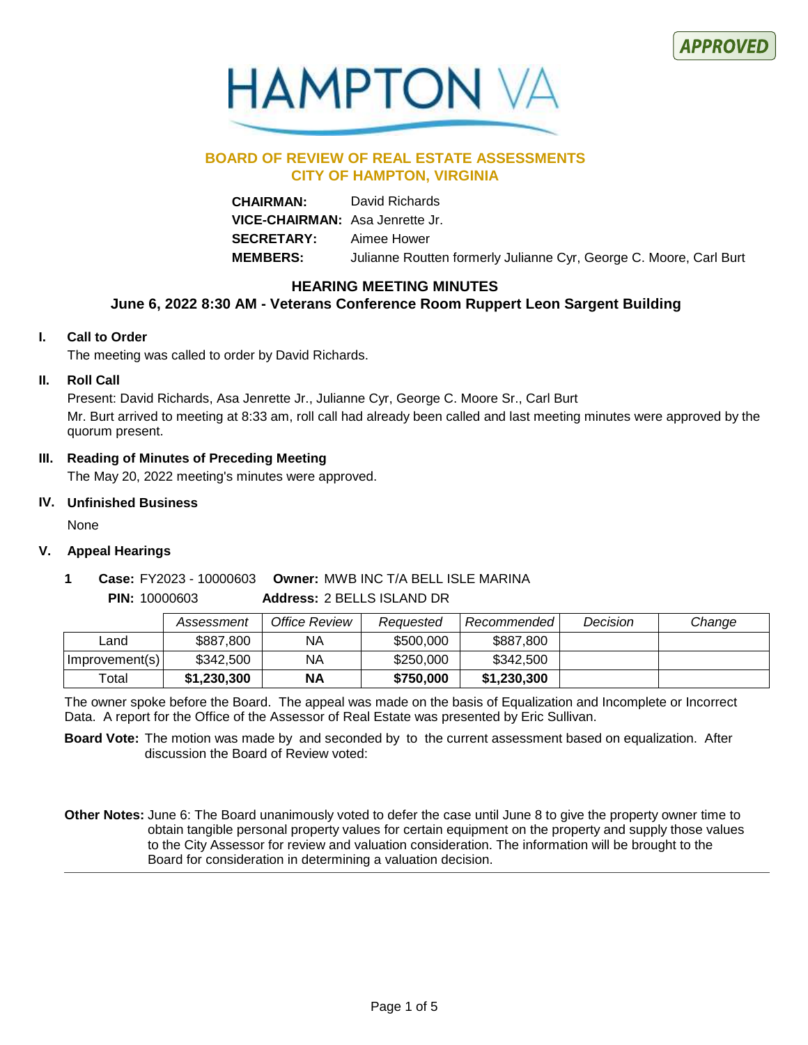



# **BOARD OF REVIEW OF REAL ESTATE ASSESSMENTS CITY OF HAMPTON, VIRGINIA**

**CHAIRMAN:** David Richards **VICE-CHAIRMAN:** Asa Jenrette Jr. **SECRETARY:** Aimee Hower **MEMBERS:** Julianne Routten formerly Julianne Cyr, George C. Moore, Carl Burt

# **HEARING MEETING MINUTES**

# **June 6, 2022 8:30 AM - Veterans Conference Room Ruppert Leon Sargent Building**

# **I. Call to Order**

The meeting was called to order by David Richards.

# **II. Roll Call**

Present: David Richards, Asa Jenrette Jr., Julianne Cyr, George C. Moore Sr., Carl Burt Mr. Burt arrived to meeting at 8:33 am, roll call had already been called and last meeting minutes were approved by the quorum present.

# **III. Reading of Minutes of Preceding Meeting**

The May 20, 2022 meeting's minutes were approved.

# **IV. Unfinished Business**

**PIN:** 10000603

None

# **V. Appeal Hearings**

# **Owner:** MWB INC T/A BELL ISLE MARINA **1 Case:** FY2023 - 10000603

**Address:** 2 BELLS ISLAND DR

|                | Assessment  | Office Review | Reauested | Recommended l | Decision | Change |
|----------------|-------------|---------------|-----------|---------------|----------|--------|
| ∟and           | \$887,800   | NA            | \$500,000 | \$887,800     |          |        |
| Improvement(s) | \$342,500   | NA            | \$250,000 | \$342,500     |          |        |
| Total          | \$1.230.300 | <b>NA</b>     | \$750,000 | \$1.230.300   |          |        |

The owner spoke before the Board. The appeal was made on the basis of Equalization and Incomplete or Incorrect Data. A report for the Office of the Assessor of Real Estate was presented by Eric Sullivan.

**Board Vote:** The motion was made by and seconded by to the current assessment based on equalization. After discussion the Board of Review voted:

Other Notes: June 6: The Board unanimously voted to defer the case until June 8 to give the property owner time to obtain tangible personal property values for certain equipment on the property and supply those values to the City Assessor for review and valuation consideration. The information will be brought to the Board for consideration in determining a valuation decision.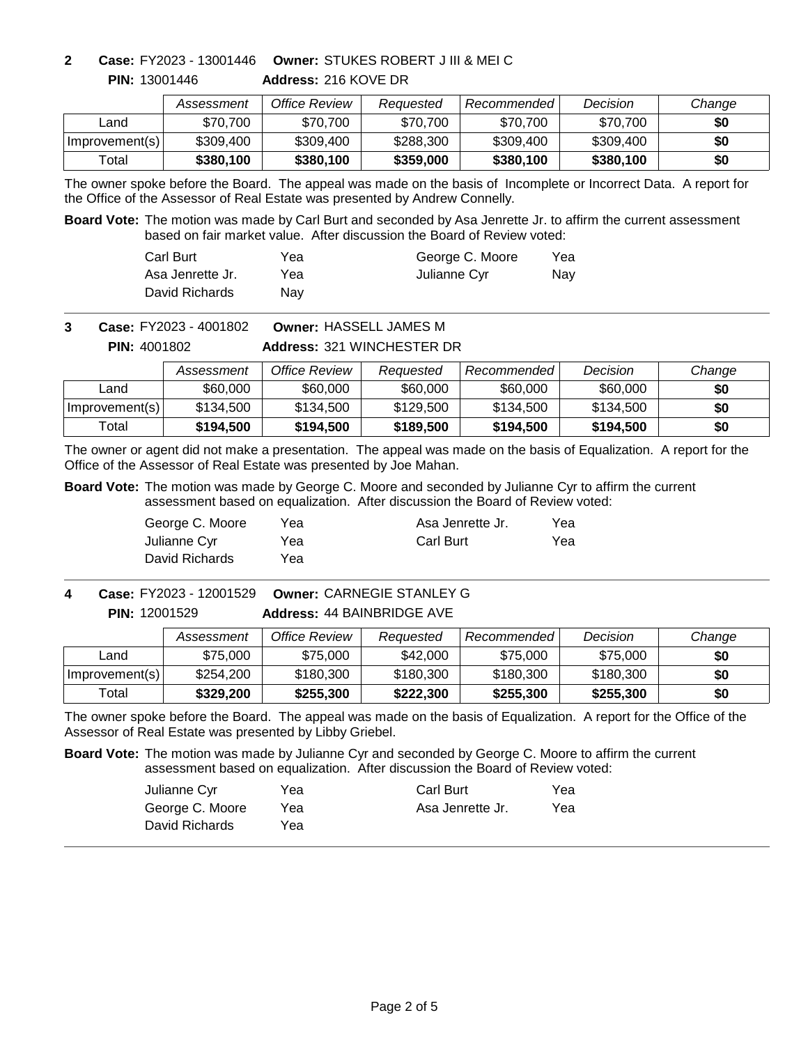**PIN:** 13001446

**Address:** 216 KOVE DR **Owner:** STUKES ROBERT J III & MEI C **2 Case:** FY2023 - 13001446

|                | Assessment | Office Review | Reauested | Recommended | Decision  | Change |
|----------------|------------|---------------|-----------|-------------|-----------|--------|
| _and           | \$70.700   | \$70,700      | \$70.700  | \$70,700    | \$70,700  | \$0    |
| Improvement(s) | \$309,400  | \$309,400     | \$288,300 | \$309,400   | \$309,400 | \$0    |
| Total          | \$380,100  | \$380,100     | \$359,000 | \$380,100   | \$380,100 | \$0    |

The owner spoke before the Board. The appeal was made on the basis of Incomplete or Incorrect Data. A report for the Office of the Assessor of Real Estate was presented by Andrew Connelly.

**Board Vote:** The motion was made by Carl Burt and seconded by Asa Jenrette Jr. to affirm the current assessment based on fair market value. After discussion the Board of Review voted:

| Carl Burt        | Yea | George C. Moore | Yea |
|------------------|-----|-----------------|-----|
| Asa Jenrette Jr. | Yea | Julianne Cyr    | Nav |
| David Richards   | Nav |                 |     |

**Owner:** HASSELL JAMES M **3 Case:** FY2023 - 4001802

**PIN:** 4001802

# **Address:** 321 WINCHESTER DR

|                | Assessment | Office Review | Reauested | Recommended | Decision  | Change |
|----------------|------------|---------------|-----------|-------------|-----------|--------|
| ∟and           | \$60,000   | \$60,000      | \$60,000  | \$60,000    | \$60,000  | \$0    |
| Improvement(s) | \$134.500  | \$134,500     | \$129.500 | \$134.500   | \$134,500 | \$0    |
| Total          | \$194,500  | \$194.500     | \$189,500 | \$194.500   | \$194.500 | \$0    |

The owner or agent did not make a presentation. The appeal was made on the basis of Equalization. A report for the Office of the Assessor of Real Estate was presented by Joe Mahan.

**Board Vote:** The motion was made by George C. Moore and seconded by Julianne Cyr to affirm the current assessment based on equalization. After discussion the Board of Review voted:

| George C. Moore | Yea | Asa Jenrette Jr. | Yea |
|-----------------|-----|------------------|-----|
| Julianne Cyr    | Yea | <b>Carl Burt</b> | Yea |
| David Richards  | Yea |                  |     |

## **Address:** 44 BAINBRIDGE AVE **Owner:** CARNEGIE STANLEY G **4 Case:** FY2023 - 12001529 **PIN:** 12001529

|                | Assessment | Office Review | Reauested | Recommended | Decision  | Change |
|----------------|------------|---------------|-----------|-------------|-----------|--------|
| Land           | \$75,000   | \$75,000      | \$42,000  | \$75,000    | \$75,000  | \$0    |
| Improvement(s) | \$254,200  | \$180,300     | \$180,300 | \$180,300   | \$180,300 | \$0    |
| Total          | \$329,200  | \$255,300     | \$222,300 | \$255,300   | \$255,300 | \$0    |

The owner spoke before the Board. The appeal was made on the basis of Equalization. A report for the Office of the Assessor of Real Estate was presented by Libby Griebel.

**Board Vote:** The motion was made by Julianne Cyr and seconded by George C. Moore to affirm the current assessment based on equalization. After discussion the Board of Review voted:

| Julianne Cvr    | Yea | <b>Carl Burt</b> | Yea |
|-----------------|-----|------------------|-----|
| George C. Moore | Yea | Asa Jenrette Jr. | Yea |
| David Richards  | Yea |                  |     |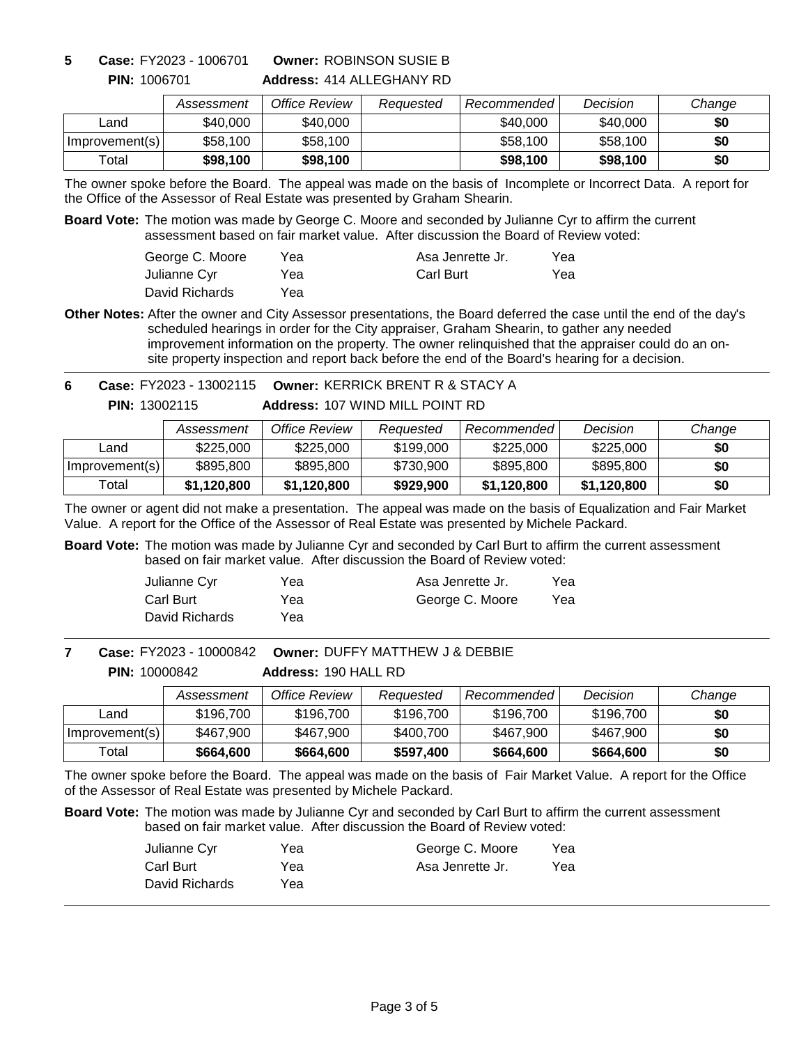**5 Case:** FY2023 - 1006701

**PIN:** 1006701

# **Address:** 414 ALLEGHANY RD **Owner:** ROBINSON SUSIE B

|                | Assessment | Office Review | Reauested | Recommended | Decision | Change |
|----------------|------------|---------------|-----------|-------------|----------|--------|
| ∟and           | \$40,000   | \$40,000      |           | \$40,000    | \$40,000 | \$0    |
| Improvement(s) | \$58,100   | \$58,100      |           | \$58,100    | \$58,100 | \$0    |
| Total          | \$98,100   | \$98,100      |           | \$98,100    | \$98,100 | \$0    |

The owner spoke before the Board. The appeal was made on the basis of Incomplete or Incorrect Data. A report for the Office of the Assessor of Real Estate was presented by Graham Shearin.

**Board Vote:** The motion was made by George C. Moore and seconded by Julianne Cyr to affirm the current assessment based on fair market value. After discussion the Board of Review voted:

| George C. Moore | Yea | Asa Jenrette Jr. | Yea |
|-----------------|-----|------------------|-----|
| Julianne Cyr    | Yea | <b>Carl Burt</b> | Yea |
| David Richards  | Yea |                  |     |

Other Notes: After the owner and City Assessor presentations, the Board deferred the case until the end of the day's scheduled hearings in order for the City appraiser, Graham Shearin, to gather any needed improvement information on the property. The owner relinquished that the appraiser could do an onsite property inspection and report back before the end of the Board's hearing for a decision.

**Address:** 107 WIND MILL POINT RD **Owner:** KERRICK BRENT R & STACY A **6 Case:** FY2023 - 13002115 **PIN:** 13002115

|                | Assessment  | Office Review | Reauested | Recommended | Decision    | Change |
|----------------|-------------|---------------|-----------|-------------|-------------|--------|
| ∟and           | \$225,000   | \$225,000     | \$199,000 | \$225,000   | \$225,000   | \$0    |
| Improvement(s) | \$895,800   | \$895,800     | \$730,900 | \$895,800   | \$895,800   | \$0    |
| Total          | \$1,120,800 | \$1,120,800   | \$929,900 | \$1,120,800 | \$1,120,800 | \$0    |

The owner or agent did not make a presentation. The appeal was made on the basis of Equalization and Fair Market Value. A report for the Office of the Assessor of Real Estate was presented by Michele Packard.

**Board Vote:** The motion was made by Julianne Cyr and seconded by Carl Burt to affirm the current assessment based on fair market value. After discussion the Board of Review voted:

| Julianne Cyr   | Yea | Asa Jenrette Jr. | Yea |
|----------------|-----|------------------|-----|
| Carl Burt      | Yea | George C. Moore  | Yea |
| David Richards | Yea |                  |     |

**Owner:** DUFFY MATTHEW J & DEBBIE **7 Case:** FY2023 - 10000842

**Address:** 190 HALL RD **PIN:** 10000842

|                | Assessment | Office Review | Reauested | Recommended | Decision  | Change |
|----------------|------------|---------------|-----------|-------------|-----------|--------|
| ∟and           | \$196.700  | \$196.700     | \$196,700 | \$196,700   | \$196,700 | \$0    |
| Improvement(s) | \$467,900  | \$467,900     | \$400,700 | \$467,900   | \$467,900 | \$0    |
| Total          | \$664,600  | \$664,600     | \$597,400 | \$664,600   | \$664,600 | \$0    |

The owner spoke before the Board. The appeal was made on the basis of Fair Market Value. A report for the Office of the Assessor of Real Estate was presented by Michele Packard.

**Board Vote:** The motion was made by Julianne Cyr and seconded by Carl Burt to affirm the current assessment based on fair market value. After discussion the Board of Review voted:

| Julianne Cyr   | Yea | George C. Moore  | Yea |
|----------------|-----|------------------|-----|
| Carl Burt      | Yea | Asa Jenrette Jr. | Yea |
| David Richards | Yea |                  |     |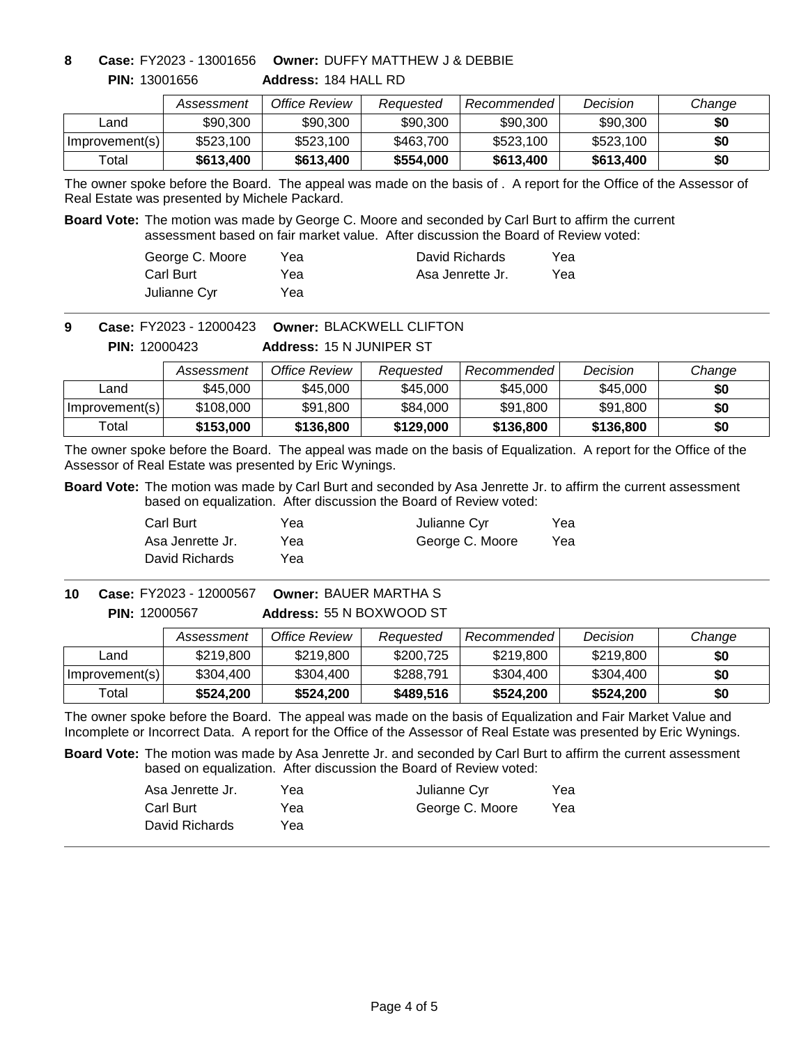**PIN:** 13001656

**Address:** 184 HALL RD **Owner:** DUFFY MATTHEW J & DEBBIE **8 Case:** FY2023 - 13001656

|                | Assessment | Office Review | Reauested | Recommended | Decision  | Change |
|----------------|------------|---------------|-----------|-------------|-----------|--------|
| ∟and           | \$90,300   | \$90,300      | \$90,300  | \$90,300    | \$90,300  | \$0    |
| Improvement(s) | \$523,100  | \$523,100     | \$463,700 | \$523,100   | \$523,100 | \$0    |
| Total          | \$613,400  | \$613,400     | \$554,000 | \$613,400   | \$613,400 | \$0    |

The owner spoke before the Board. The appeal was made on the basis of . A report for the Office of the Assessor of Real Estate was presented by Michele Packard.

**Board Vote:** The motion was made by George C. Moore and seconded by Carl Burt to affirm the current assessment based on fair market value. After discussion the Board of Review voted:

| George C. Moore | Yea | David Richards   | Yea |
|-----------------|-----|------------------|-----|
| Carl Burt       | Yea | Asa Jenrette Jr. | Yea |
| Julianne Cyr    | Yea |                  |     |

**Owner:** BLACKWELL CLIFTON **9 Case:** FY2023 - 12000423

**PIN:** 12000423

## **Address:** 15 N JUNIPER ST

|                | Assessment | Office Review | Reauested | Recommended | Decision  | Change |
|----------------|------------|---------------|-----------|-------------|-----------|--------|
| _and           | \$45,000   | \$45,000      | \$45,000  | \$45,000    | \$45,000  | \$0    |
| Improvement(s) | \$108,000  | \$91,800      | \$84.000  | \$91,800    | \$91,800  | \$0    |
| Total          | \$153,000  | \$136,800     | \$129,000 | \$136,800   | \$136,800 | \$0    |

The owner spoke before the Board. The appeal was made on the basis of Equalization. A report for the Office of the Assessor of Real Estate was presented by Eric Wynings.

**Board Vote:** The motion was made by Carl Burt and seconded by Asa Jenrette Jr. to affirm the current assessment based on equalization. After discussion the Board of Review voted:

| Carl Burt        | Yea | Julianne Cyr    | Yea |
|------------------|-----|-----------------|-----|
| Asa Jenrette Jr. | Yea | George C. Moore | Yea |
| David Richards   | Yea |                 |     |

### **Address:** 55 N BOXWOOD ST **Owner:** BAUER MARTHA S **PIN:** 12000567 **10 Case:** FY2023 - 12000567

|                | Assessment | Office Review | Reauested | Recommended | Decision  | Change |
|----------------|------------|---------------|-----------|-------------|-----------|--------|
| Land           | \$219,800  | \$219,800     | \$200,725 | \$219,800   | \$219,800 | \$0    |
| Improvement(s) | \$304,400  | \$304,400     | \$288,791 | \$304,400   | \$304.400 | \$0    |
| Total          | \$524,200  | \$524,200     | \$489,516 | \$524,200   | \$524,200 | \$0    |

The owner spoke before the Board. The appeal was made on the basis of Equalization and Fair Market Value and Incomplete or Incorrect Data. A report for the Office of the Assessor of Real Estate was presented by Eric Wynings.

**Board Vote:** The motion was made by Asa Jenrette Jr. and seconded by Carl Burt to affirm the current assessment based on equalization. After discussion the Board of Review voted:

| Asa Jenrette Jr. | Yea | Julianne Cyr    | Yea |
|------------------|-----|-----------------|-----|
| Carl Burt        | Yea | George C. Moore | Yea |
| David Richards   | Yea |                 |     |